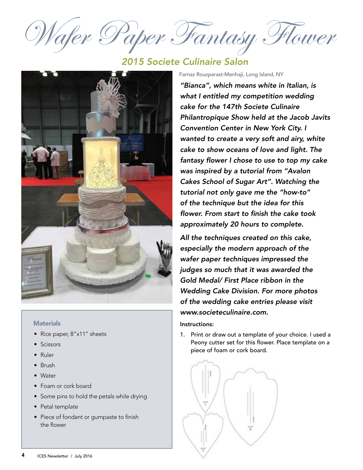Wafer Paper Fantasy Flower

## *2015 Societe Culinaire Salon*



## **Materials**

- Rice paper, 8"x11" sheets
- Scissors
- Ruler
- Brush
- Water
- Foam or cork board
- Some pins to hold the petals while drying
- Petal template
- Piece of fondant or gumpaste to finish the flower

Farnaz Rouzparast-Menhaji, Long Island, NY

*"Bianca", which means white in Italian, is what I entitled my competition wedding cake for the 147th Societe Culinaire Philantropique Show held at the Jacob Javits Convention Center in New York City. I wanted to create a very soft and airy, white cake to show oceans of love and light. The*  fantasy flower I chose to use to top my cake *was inspired by a tutorial from "Avalon Cakes School of Sugar Art". Watching the tutorial not only gave me the "how-to" of the technique but the idea for this*  flower. From start to finish the cake took *approximately 20 hours to complete.* 

*All the techniques created on this cake, especially the modern approach of the wafer paper techniques impressed the judges so much that it was awarded the*  Gold Medal/ First Place ribbon in the Wedding Cake Division. For more photos *of the wedding cake entries please visit www.societeculinaire.com.*

## Instructions:

1. Print or draw out a template of your choice. I used a Peony cutter set for this flower. Place template on a piece of foam or cork board.

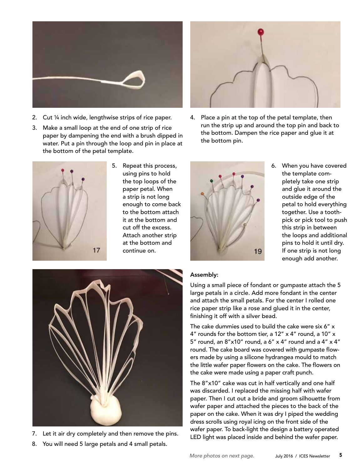

- 2. Cut ¼ inch wide, lengthwise strips of rice paper.
- 3. Make a small loop at the end of one strip of rice paper by dampening the end with a brush dipped in water. Put a pin through the loop and pin in place at the bottom of the petal template.



5. Repeat this process, using pins to hold the top loops of the paper petal. When a strip is not long enough to come back to the bottom attach it at the bottom and cut off the excess. Attach another strip at the bottom and continue on.



4. Place a pin at the top of the petal template, then run the strip up and around the top pin and back to the bottom. Dampen the rice paper and glue it at the bottom pin.



6. When you have covered the template completely take one strip and glue it around the outside edge of the petal to hold everything together. Use a toothpick or pick tool to push this strip in between the loops and additional pins to hold it until dry. If one strip is not long enough add another.



- 7. Let it air dry completely and then remove the pins.
- 8. You will need 5 large petals and 4 small petals.

## Assembly:

Using a small piece of fondant or gumpaste attach the 5 large petals in a circle. Add more fondant in the center and attach the small petals. For the center I rolled one rice paper strip like a rose and glued it in the center, finishing it off with a silver bead.

The cake dummies used to build the cake were six 6" x 4" rounds for the bottom tier, a 12" x 4" round, a 10" x 5" round, an  $8"x10"$  round, a  $6"x4"$  round and a  $4"x4"$ round. The cake board was covered with gumpaste flowers made by using a silicone hydrangea mould to match the little wafer paper flowers on the cake. The flowers on the cake were made using a paper craft punch.

The 8"x10" cake was cut in half vertically and one half was discarded. I replaced the missing half with wafer paper. Then I cut out a bride and groom silhouette from wafer paper and attached the pieces to the back of the paper on the cake. When it was dry I piped the wedding dress scrolls using royal icing on the front side of the wafer paper. To back-light the design a battery operated LED light was placed inside and behind the wafer paper.